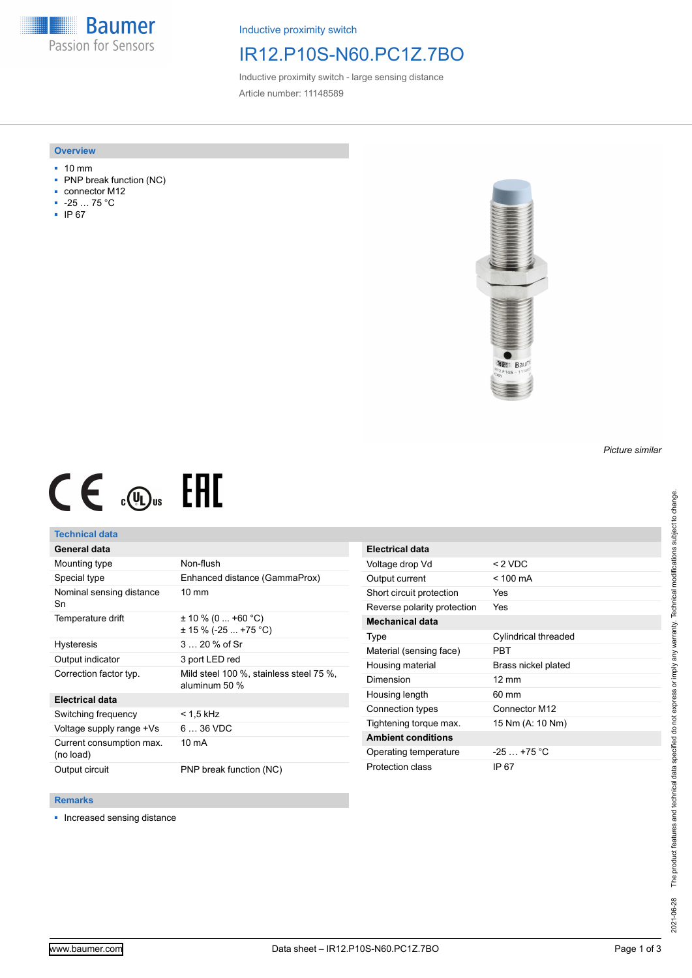**Baumer** Passion for Sensors

Inductive proximity switch

## IR12.P10S-N60.PC1Z.7BO

Inductive proximity switch - large sensing distance Article number: 11148589

### **Overview**

- 10 mm
- PNP break function (NC)
- connector M12
- -25 … 75 °C
- IP 67



# $CE \mathcal{L}$  ( $\mathcal{L}$  and  $SE$

## **Technical data**

## **General data**

| Mounting type                         | Non-flush                                                |
|---------------------------------------|----------------------------------------------------------|
| Special type                          | Enhanced distance (GammaProx)                            |
| Nominal sensing distance<br>Sn        | $10 \text{ mm}$                                          |
| Temperature drift                     | $\pm$ 10 % (0  +60 °C)<br>$\pm$ 15 % (-25  +75 °C)       |
| <b>Hysteresis</b>                     | $320%$ of Sr                                             |
| Output indicator                      | 3 port LED red                                           |
| Correction factor typ.                | Mild steel 100 %, stainless steel 75 %,<br>aluminum 50 % |
| <b>Electrical data</b>                |                                                          |
| Switching frequency                   | < 1.5 kHz                                                |
| Voltage supply range +Vs              | $636$ VDC                                                |
| Current consumption max.<br>(no load) | 10 mA                                                    |
| Output circuit                        | PNP break function (NC)                                  |

| Electrical data             |                      |
|-----------------------------|----------------------|
| Voltage drop Vd             | $< 2$ VDC            |
| Output current              | $<$ 100 mA           |
| Short circuit protection    | Yes                  |
| Reverse polarity protection | Yes                  |
| <b>Mechanical data</b>      |                      |
| Type                        | Cylindrical threaded |
| Material (sensing face)     | PBT                  |
| Housing material            | Brass nickel plated  |
| Dimension                   | $12 \text{ mm}$      |
| Housing length              | 60 mm                |
| Connection types            | Connector M12        |
| Tightening torque max.      | 15 Nm (A: 10 Nm)     |
| <b>Ambient conditions</b>   |                      |
| Operating temperature       | $-25$ $+75$ °C       |
| Protection class            | IP 67                |

#### **Remarks**

■ Increased sensing distance

*Picture similar*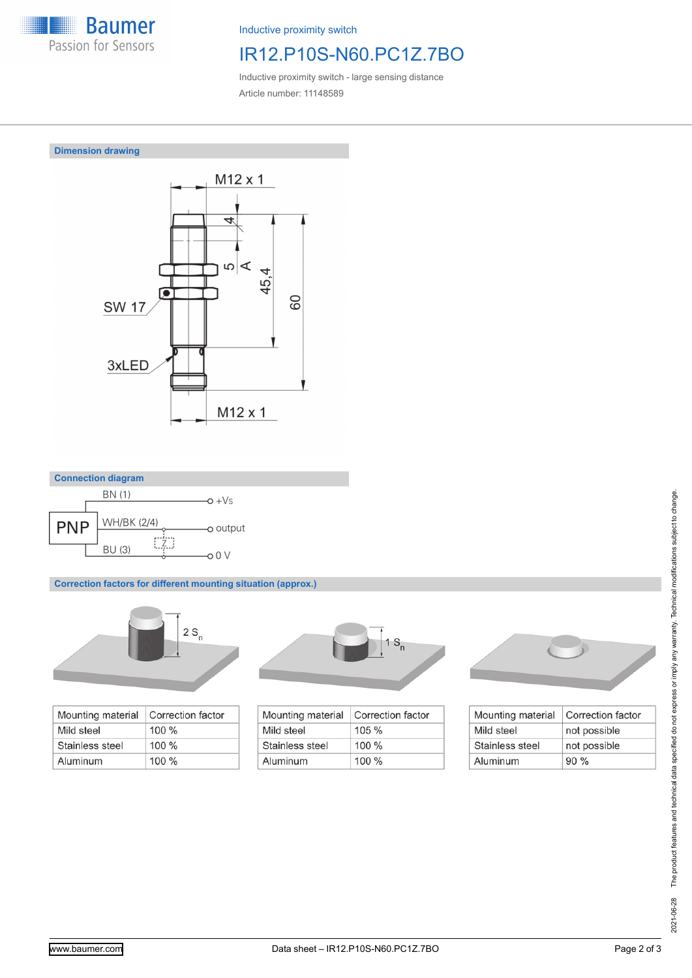

Inductive proximity switch

# IR12.P10S-N60.PC1Z.7BO

Inductive proximity switch - large sensing distance Article number: 11148589







**Correction factors for different mounting situation (approx.)**



| Mounting material | Correction factor |
|-------------------|-------------------|
| Mild steel        | $100\%$           |
| Stainless steel   | $100 \%$          |
| Aluminum          | $100\%$           |



| Correction factor |
|-------------------|
| $105 \%$          |
| $100\%$           |
| $100\%$           |
|                   |



| Mounting material | Correction factor |
|-------------------|-------------------|
| Mild steel        | not possible      |
| Stainless steel   | not possible      |
| Aluminum          | 90%               |